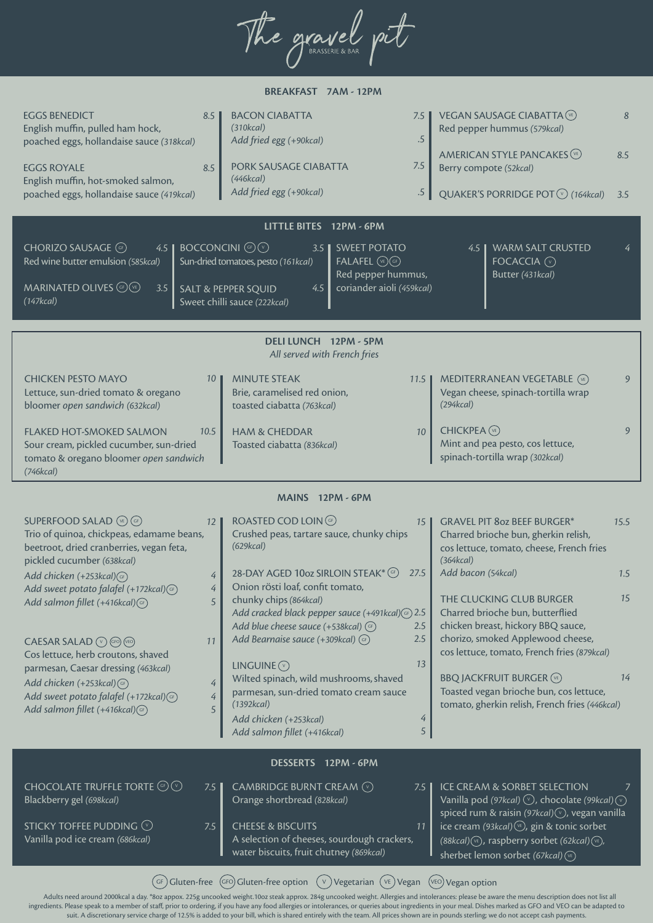The gravel pit

| BREAKFAST 7AM - 12PM                                                                                                                                                                                                                                                                                                                     |                                                                                                                                                                                                                                                                                                                                                                                                                        |                                                                                                                                                                                                                                                                                                                                     |  |  |  |  |  |  |  |
|------------------------------------------------------------------------------------------------------------------------------------------------------------------------------------------------------------------------------------------------------------------------------------------------------------------------------------------|------------------------------------------------------------------------------------------------------------------------------------------------------------------------------------------------------------------------------------------------------------------------------------------------------------------------------------------------------------------------------------------------------------------------|-------------------------------------------------------------------------------------------------------------------------------------------------------------------------------------------------------------------------------------------------------------------------------------------------------------------------------------|--|--|--|--|--|--|--|
| <b>EGGS BENEDICT</b><br>8.5<br>English muffin, pulled ham hock,<br>poached eggs, hollandaise sauce (318kcal)<br><b>EGGS ROYALE</b><br>8.5<br>English muffin, hot-smoked salmon,<br>poached eggs, hollandaise sauce (419kcal)                                                                                                             | <b>BACON CIABATTA</b><br>7.5<br>(310kcal)<br>$.5\,$<br>Add fried egg (+90kcal)<br>7.5<br>PORK SAUSAGE CIABATTA<br>(446kcal)<br>Add fried egg (+90kcal)<br>$.5\,$                                                                                                                                                                                                                                                       | VEGAN SAUSAGE CIABATTA (VE)<br>8<br>Red pepper hummus (579kcal)<br>AMERICAN STYLE PANCAKES (VE)<br>8.5<br>Berry compote (52kcal)<br>QUAKER'S PORRIDGE POT ⊙ (164kcal)<br>3.5                                                                                                                                                        |  |  |  |  |  |  |  |
|                                                                                                                                                                                                                                                                                                                                          |                                                                                                                                                                                                                                                                                                                                                                                                                        |                                                                                                                                                                                                                                                                                                                                     |  |  |  |  |  |  |  |
| CHORIZO SAUSAGE CF<br>4.5<br>Red wine butter emulsion (585kcal)<br>MARINATED OLIVES (GP) VE)<br>3.5<br>(147kcal)                                                                                                                                                                                                                         | LITTLE BITES 12PM - 6PM<br><b>BOCCONCINI GP</b><br><b>SWEET POTATO</b><br>$3.5\,$<br>Sun-dried tomatoes, pesto (161kcal)<br>$FALAFEL$ $(E)$ $(F)$<br>Red pepper hummus,<br>coriander aioli (459kcal)<br>4.5<br><b>SALT &amp; PEPPER SQUID</b><br>Sweet chilli sauce (222kcal)                                                                                                                                          | <b>WARM SALT CRUSTED</b><br>4.5<br>FOCACCIA (v)<br>Butter (431kcal)                                                                                                                                                                                                                                                                 |  |  |  |  |  |  |  |
| DELI LUNCH 12PM - 5PM                                                                                                                                                                                                                                                                                                                    |                                                                                                                                                                                                                                                                                                                                                                                                                        |                                                                                                                                                                                                                                                                                                                                     |  |  |  |  |  |  |  |
|                                                                                                                                                                                                                                                                                                                                          | All served with French fries                                                                                                                                                                                                                                                                                                                                                                                           |                                                                                                                                                                                                                                                                                                                                     |  |  |  |  |  |  |  |
| <b>CHICKEN PESTO MAYO</b><br>10<br>Lettuce, sun-dried tomato & oregano<br>bloomer open sandwich (632kcal)                                                                                                                                                                                                                                | <b>MINUTE STEAK</b><br>11.5<br>Brie, caramelised red onion,<br>toasted ciabatta (763kcal)                                                                                                                                                                                                                                                                                                                              | <b>MEDITERRANEAN VEGETABLE</b> (VE)<br>9<br>Vegan cheese, spinach-tortilla wrap<br>(294kcal)                                                                                                                                                                                                                                        |  |  |  |  |  |  |  |
| 10.5<br><b>FLAKED HOT-SMOKED SALMON</b><br>Sour cream, pickled cucumber, sun-dried<br>tomato & oregano bloomer open sandwich<br>(746kcal)                                                                                                                                                                                                | <b>HAM &amp; CHEDDAR</b><br>10<br>Toasted ciabatta (836kcal)                                                                                                                                                                                                                                                                                                                                                           | <b>CHICKPEA</b> (VE)<br>9<br>Mint and pea pesto, cos lettuce,<br>spinach-tortilla wrap (302kcal)                                                                                                                                                                                                                                    |  |  |  |  |  |  |  |
|                                                                                                                                                                                                                                                                                                                                          | MAINS 12PM - 6PM                                                                                                                                                                                                                                                                                                                                                                                                       |                                                                                                                                                                                                                                                                                                                                     |  |  |  |  |  |  |  |
| <b>SUPERFOOD SALAD</b> (VE) (GF)<br>12<br>Trio of quinoa, chickpeas, edamame beans,<br>beetroot, dried cranberries, vegan feta,<br>pickled cucumber (638kcal)                                                                                                                                                                            | ROASTED COD LOIN GP<br>15 <sup>1</sup><br>Crushed peas, tartare sauce, chunky chips<br>(629kcal)                                                                                                                                                                                                                                                                                                                       | <b>GRAVEL PIT 8oz BEEF BURGER*</b><br>15.5<br>Charred brioche bun, gherkin relish,<br>cos lettuce, tomato, cheese, French fries<br>(364kcal)                                                                                                                                                                                        |  |  |  |  |  |  |  |
| Add chicken (+253kcal) (GF)<br>4                                                                                                                                                                                                                                                                                                         | 28-DAY AGED 10oz SIRLOIN STEAK* (GF)<br>27.5                                                                                                                                                                                                                                                                                                                                                                           | Add bacon (54kcal)<br>1.5                                                                                                                                                                                                                                                                                                           |  |  |  |  |  |  |  |
| Add sweet potato falafel (+172kcal) GF)<br>4<br>5<br>Add salmon fillet (+416kcal) (GF)<br>11<br>CAESAR SALAD (V) (GFO) (VEO)<br>Cos lettuce, herb croutons, shaved<br>parmesan, Caesar dressing (463kcal)<br>Add chicken (+253kcal) (GF)<br>4<br>Add sweet potato falafel (+172kcal) (GF)<br>4<br>Add salmon fillet (+416kcal) (GF)<br>5 | Onion rösti loaf, confit tomato,<br>chunky chips (864kcal)<br>Add cracked black pepper sauce (+491kcal)(GF) 2.5<br>Add blue cheese sauce (+538kcal) (GF)<br>2.5<br>Add Bearnaise sauce (+309kcal) (GF)<br>2.5<br>13<br>LINGUINE $\odot$<br>Wilted spinach, wild mushrooms, shaved<br>parmesan, sun-dried tomato cream sauce<br>(1392kcal)<br>4<br>Add chicken (+253kcal)<br>$\sqrt{5}$<br>Add salmon fillet (+416kcal) | 15<br>THE CLUCKING CLUB BURGER<br>Charred brioche bun, butterflied<br>chicken breast, hickory BBQ sauce,<br>chorizo, smoked Applewood cheese,<br>cos lettuce, tomato, French fries (879kcal)<br>14<br><b>BBQ JACKFRUIT BURGER (VE)</b><br>Toasted vegan brioche bun, cos lettuce,<br>tomato, gherkin relish, French fries (446kcal) |  |  |  |  |  |  |  |
| DESSERTS 12PM - 6PM                                                                                                                                                                                                                                                                                                                      |                                                                                                                                                                                                                                                                                                                                                                                                                        |                                                                                                                                                                                                                                                                                                                                     |  |  |  |  |  |  |  |
| <b>CHOCOLATE TRUFFLE TORTE CF V</b><br>7.5<br>Blackberry gel (698kcal)                                                                                                                                                                                                                                                                   | CAMBRIDGE BURNT CREAM $\odot$<br>7.5  <br>Orange shortbread (828kcal)                                                                                                                                                                                                                                                                                                                                                  | ICE CREAM & SORBET SELECTION<br>Vanilla pod (97kcal) $\heartsuit$ , chocolate (99kcal) $\heartsuit$<br>spiced rum & raisin (97kcal) $\circledcirc$ , vegan vanilla                                                                                                                                                                  |  |  |  |  |  |  |  |
| STICKY TOFFEE PUDDING V<br>7.5<br>Vanilla pod ice cream (686kcal)                                                                                                                                                                                                                                                                        | <b>CHEESE &amp; BISCUITS</b><br>11<br>A selection of cheeses, sourdough crackers,<br>water biscuits, fruit chutney (869kcal)                                                                                                                                                                                                                                                                                           | ice cream (93kcal) (VE), gin & tonic sorbet<br>(88kcal) (VE), raspberry sorbet (62kcal) (VE),<br>sherbet lemon sorbet (67kcal) (vE)                                                                                                                                                                                                 |  |  |  |  |  |  |  |

 $G_F$  Gluten-free  $G_F$  Gluten-free option  $(V)$  Vegetarian  $(V_E)$  Vegan  $(V_E)$  Vegan option

Adults need around 2000kcal a day. \*8oz appox. 225g uncooked weight.10oz steak approx. 284g uncooked weight. Allergies and intolerances: please be aware the menu description does not list all ingredients. Please speak to a member of staff, prior to ordering, if you have any food allergies or intolerances, or queries about ingredients in your meal. Dishes marked as GFO and VEO can be adapted to suit. A discretionary service charge of 12.5% is added to your bill, which is shared entirely with the team. All prices shown are in pounds sterling; we do not accept cash payments.